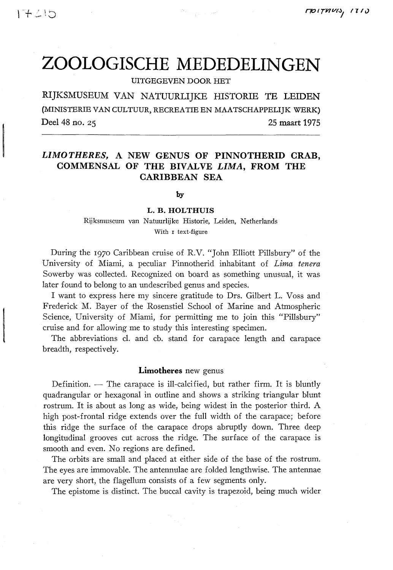# ZOOLOGISCHE MEDEDELINGEN

UITGEGEVEN DOOR HET

RIJKSMUSEUM VAN NATUURLIJKE HISTORIE TE LEIDEN (MINISTERIE VAN CULTUUR, RECREATIE EN MAATSCHAPPELIJK WERK) **Deel 48 no. 25 25 maart 1975** 

# *LIMOTHERES,* **A NEW GENUS OF PINNOTHERID GRAB, COMMENSAL OF THE BIVALVE** *LIMA,* **FROM THE CARIBBEAN SEA**

**by** 

### **L. B. HOLTHUIS**

Rijksmuseum van Natuurlijke Historie, Leiden, Netherlands With r text-figure

During the 1970 Caribbean cruise of R.V. *"John* Elliott Pillsbury" of the University of Miami, a peculiar Pinnotherid inhabitant of *Lima tenera*  Sowerby was collected. Recognized on board as something unusual, it was later found to belong to an undescribed genus and species.

I want to express here my sincere gratitude to Drs. Gilbert L. Voss and Frederick M. Bayer of the Rosenstiel School of Marine and Atmospheric Science, University of Miami, for permitting me to join this "Pillsbury" cruise and for allowing me to study this interesting specimen.

The abbreviations cl. and cb. stand for carapace length and carapace breadth, respectively.

# **Limotheres** new genus

Definition. — The carapace is ill-calcified, but rather firm. It is bluntly quadrangular or hexagonal in outline and shows a striking triangular blunt rostrum. It is about as long as wide, being widest in the posterior third. A high post-frontal ridge extends over the full width of the carapace; before this ridge the surface of the carapace drops abruptly down. Three deep longitudinal grooves cut across the ridge. The surface of the carapace is smooth and even. No regions are defined.

The orbits are small and placed at either side of the base of the rostrum. The eyes are immovable. The antennulae are folded lengthwise. The antennae are very short, the flagellum consists of a few segments only.

The epistome is distinct. The buccal cavity is trapezoid, being much wider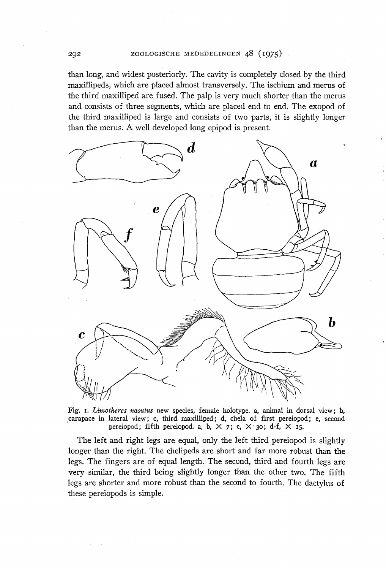than long, and widest posteriorly. The cavity is completely closed by the third maxillipeds, which are placed almost transversely. The ischium and merus of the third maxilliped are fused. The palp is very much shorter than the merus and consists of three segments, which are placed end to end. The exopod of the third maxilliped is large and consists of two parts, it is slightly longer than the merus. A well developed long epipod is present.



Fig. 1. *Limotheres nasutus* new species, female holotype. a, animal in dorsal view; b, (carapace in lateral view; c, third maxilliped; d, chela of first pereiopod; e, second pereiopod; fifth pereiopod. a, b,  $\times$  7; c,  $\times$  30; d-f,  $\times$  15.

The left and right legs are equal, only the left third pereiopod is slightly longer than the right. The chelipeds are short and far more robust than the legs. The fingers are of equal length. The second, third and fourth legs are very similar, the third being slightly longer than the other two. The fifth legs are shorter and more robust than the second to fourth. The dactylus of these pereiopods is simple.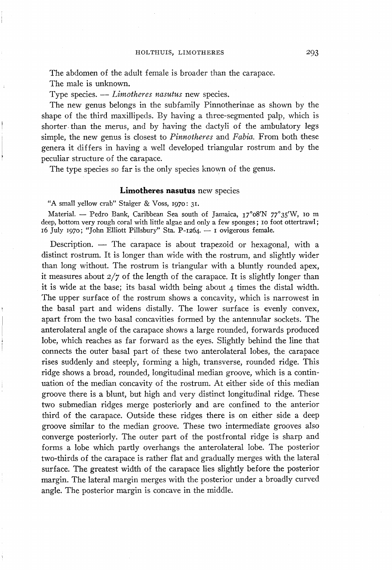The abdomen of the adult female is broader than the carapace.

The male is unknown.

Type species. — *Limotheres nasutus* new species.

The new genus belongs in the subfamily Pinnotherinae as shown by the shape of the third maxillipeds. By having a three-segmented palp, which is shorter than the merus, and by having the dactyli of the ambulatory legs simple, the new genus is closest to *Pinnotheres* and *Fabia.* From both these genera it differs in having a well developed triangular rostrum and by the peculiar structure of the carapace.

The type species so far is the only species known of the genus.

## **Limotheres nasutus** new species

"A small yellow crab" Staiger & Voss, 1970: 31.

Material. — Pedro Bank, Caribbean Sea south of Jamaica, i7°o8'N 77°35'W, 10 m deep, bottom very rough coral with little algae and only a few sponges; 10 foot ottertrawl; 16 July 1970; "John Elliott Pillsbury" Sta. P-1264. — 1 ovigerous female.

Description. — The carapace is about trapezoid or hexagonal, with a distinct rostrum. It is longer than wide with the rostrum, and slightly wider than long without. The rostrum is triangular with a bluntly rounded apex, it measures about  $2/7$  of the length of the carapace. It is slightly longer than it is wide at the base; its basal width being about 4 times the distal width. The upper surface of the rostrum shows a concavity, which is narrowest in the basal part and widens distally. The lower surface is evenly convex, apart from the two basal concavities formed by the antennular sockets. The anterolateral angle of the carapace shows a large rounded, forwards produced lobe, which reaches as far forward as the eyes. Slightly behind the line that connects the outer basal part of these two anterolateral lobes, the carapace rises suddenly and steeply, forming a high, transverse, rounded ridge. This ridge shows a broad, rounded, longitudinal median groove, which is a continuation of the median concavity of the rostrum. At either side of this median groove there is a blunt, but high and very distinct longitudinal ridge. These two submedian ridges merge posteriorly and are confined to the anterior third of the carapace. Outside these ridges there is on either side a deep groove similar to the median groove. These two intermediate grooves also converge posteriorly. The outer part of the postfrontal ridge is sharp and forms a lobe which partly overhangs the anterolateral lobe. The posterior two-thirds of the carapace is rather flat and gradually merges with the lateral surface. The greatest width of the carapace lies slightly before the posterior margin. The lateral margin merges with the posterior under a broadly curved angle. The posterior margin is concave in the middle.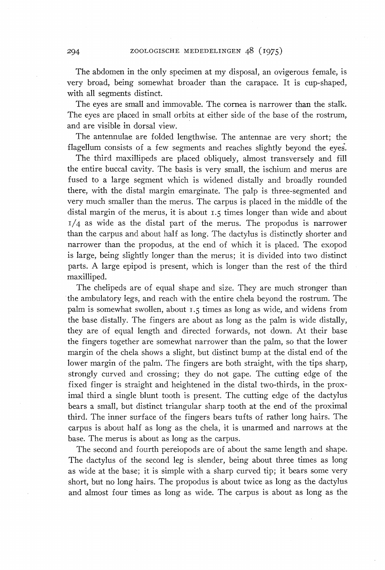The abdomen in the only specimen at my disposal, an ovigerous female, is very broad, being somewhat broader than the carapace. It is cup-shaped, with all segments distinct.

The eyes are small and immovable. The cornea is narrower than the stalk. The eyes are placed in small orbits at either side of the base of the rostrum, and are visible in dorsal view.

The antennulae are folded lengthwise. The antennae are very short; the flagellum consists of a few segments and reaches slightly beyond the eyes.

The third maxillipeds are placed obliquely, almost transversely and fill the entire buccal cavity. The basis is very small, the ischium and merus are fused to a large segment which is widened distally and broadly rounded there, with the distal margin emarginate. The palp is three-segmented and very much smaller than the merus. The carpus is placed in the middle of the distal margin of the merus, it is about 1.5 times longer than wide and about  $1/4$  as wide as the distal part of the merus. The propodus is narrower than the carpus and about half as long. The dactylus is distinctly shorter and narrower than the propodus, at the end of which it is placed. The exopod is large, being slightly longer than the merus; it is divided into two distinct parts. A large epipod is present, which is longer than the rest of the third maxilliped.

The chelipeds are of equal shape and size. They are much stronger than the ambulatory legs, and reach with the entire chela beyond the rostrum. The palm is somewhat swollen, about 1.5 times as long as wide, and widens from the base distally. The fingers are about as long as the palm is wide distally, they are of equal length and directed forwards, not down. At their base the fingers together are somewhat narrower than the palm, so that the lower margin of the chela shows a slight, but distinct bump at the distal end of the lower margin of the palm. The fingers are both straight, with the tips sharp, strongly curved and crossing; they do not gape. The cutting edge of the fixed finger is straight and heightened in the distal two-thirds, in the proximal third a single blunt tooth is present. The cutting edge of the dactylus bears a small, but distinct triangular sharp tooth at the end of the proximal third. The inner surface of the fingers bears tufts of rather long hairs. The carpus is about half as long as the chela, it is unarmed and narrows at the base. The merus is about as long as the carpus.

The second and fourth pereiopods are of about the same length and shape. The dactylus of the second leg is slender, being about three times as long as wide at the base; it is simple with a sharp curved tip; it bears some very short, but no long hairs. The propodus is about twice as long as the dactylus and almost four times as long as wide. The carpus is about as long as the